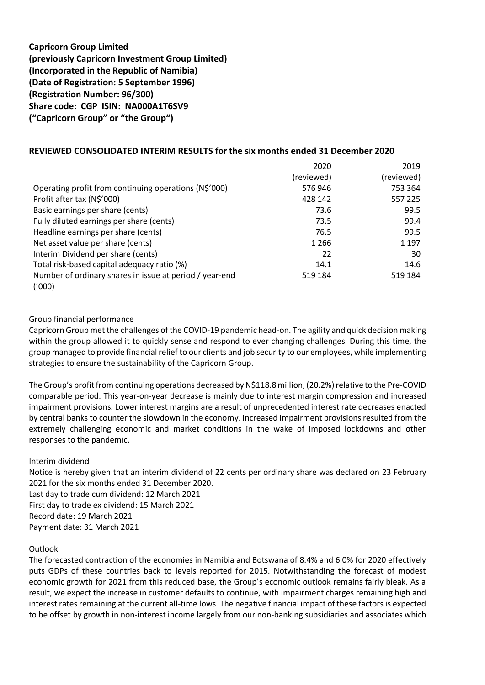# **Capricorn Group Limited (previously Capricorn Investment Group Limited) (Incorporated in the Republic of Namibia) (Date of Registration: 5 September 1996) (Registration Number: 96/300) Share code: CGP ISIN: NA000A1T6SV9 ("Capricorn Group" or "the Group")**

## **REVIEWED CONSOLIDATED INTERIM RESULTS for the six months ended 31 December 2020**

|                                                         | 2020       | 2019       |
|---------------------------------------------------------|------------|------------|
|                                                         | (reviewed) | (reviewed) |
| Operating profit from continuing operations (N\$'000)   | 576946     | 753 364    |
| Profit after tax (N\$'000)                              | 428 142    | 557 225    |
| Basic earnings per share (cents)                        | 73.6       | 99.5       |
| Fully diluted earnings per share (cents)                | 73.5       | 99.4       |
| Headline earnings per share (cents)                     | 76.5       | 99.5       |
| Net asset value per share (cents)                       | 1 2 6 6    | 1 1 9 7    |
| Interim Dividend per share (cents)                      | 22         | 30         |
| Total risk-based capital adequacy ratio (%)             | 14.1       | 14.6       |
| Number of ordinary shares in issue at period / year-end | 519 184    | 519 184    |
| ('000)                                                  |            |            |

### Group financial performance

Capricorn Group met the challenges of the COVID-19 pandemic head-on. The agility and quick decision making within the group allowed it to quickly sense and respond to ever changing challenges. During this time, the group managed to provide financial relief to our clients and job security to our employees, while implementing strategies to ensure the sustainability of the Capricorn Group.

The Group's profit from continuing operations decreased by N\$118.8 million, (20.2%) relative to the Pre-COVID comparable period. This year-on-year decrease is mainly due to interest margin compression and increased impairment provisions. Lower interest margins are a result of unprecedented interest rate decreases enacted by central banks to counter the slowdown in the economy. Increased impairment provisions resulted from the extremely challenging economic and market conditions in the wake of imposed lockdowns and other responses to the pandemic.

### Interim dividend

Notice is hereby given that an interim dividend of 22 cents per ordinary share was declared on 23 February 2021 for the six months ended 31 December 2020.

Last day to trade cum dividend: 12 March 2021 First day to trade ex dividend: 15 March 2021 Record date: 19 March 2021

Payment date: 31 March 2021

### **Outlook**

The forecasted contraction of the economies in Namibia and Botswana of 8.4% and 6.0% for 2020 effectively puts GDPs of these countries back to levels reported for 2015. Notwithstanding the forecast of modest economic growth for 2021 from this reduced base, the Group's economic outlook remains fairly bleak. As a result, we expect the increase in customer defaults to continue, with impairment charges remaining high and interest rates remaining at the current all-time lows. The negative financial impact of these factors is expected to be offset by growth in non-interest income largely from our non-banking subsidiaries and associates which